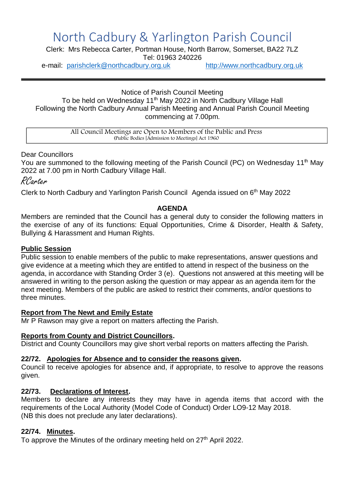# North Cadbury & Yarlington Parish Council

Clerk: Mrs Rebecca Carter, Portman House, North Barrow, Somerset, BA22 7LZ Tel: 01963 240226

e-mail: [parishclerk@northcadbury.org.uk](mailto:parishclerk@northcadbury.org.uk) [http://www.northcadbury.org.uk](http://www.northcadbury.org.uk/)

Notice of Parish Council Meeting To be held on Wednesday 11<sup>th</sup> May 2022 in North Cadbury Village Hall Following the North Cadbury Annual Parish Meeting and Annual Parish Council Meeting commencing at 7.00pm.

> All Council Meetings are Open to Members of the Public and Press (Public Bodies [Admission to Meetings] Act 1960

## Dear Councillors

You are summoned to the following meeting of the Parish Council (PC) on Wednesday 11<sup>th</sup> May 2022 at 7.00 pm in North Cadbury Village Hall.

# RCarter

Clerk to North Cadbury and Yarlington Parish Council Agenda issued on 6<sup>th</sup> May 2022

## **AGENDA**

Members are reminded that the Council has a general duty to consider the following matters in the exercise of any of its functions: Equal Opportunities, Crime & Disorder, Health & Safety, Bullying & Harassment and Human Rights.

## **Public Session**

Public session to enable members of the public to make representations, answer questions and give evidence at a meeting which they are entitled to attend in respect of the business on the agenda, in accordance with Standing Order 3 (e). Questions not answered at this meeting will be answered in writing to the person asking the question or may appear as an agenda item for the next meeting. Members of the public are asked to restrict their comments, and/or questions to three minutes.

## **Report from The Newt and Emily Estate**

Mr P Rawson may give a report on matters affecting the Parish.

## **Reports from County and District Councillors.**

District and County Councillors may give short verbal reports on matters affecting the Parish.

## **22/72. Apologies for Absence and to consider the reasons given.**

Council to receive apologies for absence and, if appropriate, to resolve to approve the reasons given.

## **22/73. Declarations of Interest.**

Members to declare any interests they may have in agenda items that accord with the requirements of the Local Authority (Model Code of Conduct) Order LO9-12 May 2018. (NB this does not preclude any later declarations).

## **22/74. Minutes.**

To approve the Minutes of the ordinary meeting held on 27<sup>th</sup> April 2022.